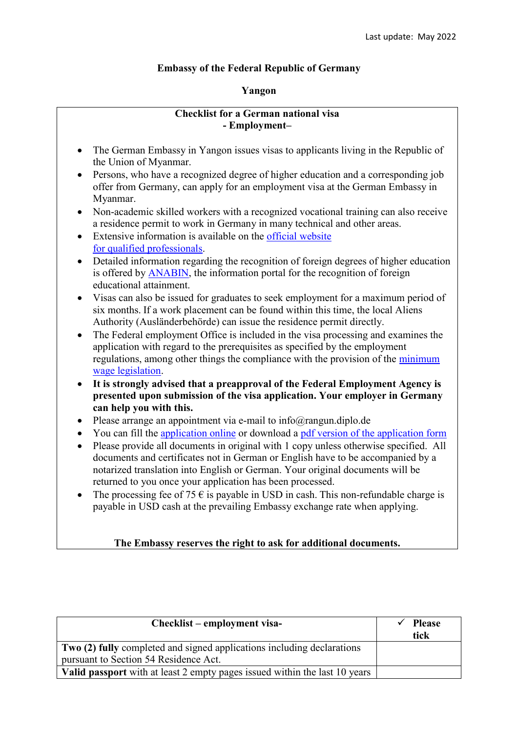## **Embassy of the Federal Republic of Germany**

## **Yangon**

## **Checklist for a German national visa - Employment–**

- The German Embassy in Yangon issues visas to applicants living in the Republic of the Union of Myanmar.
- Persons, who have a recognized degree of higher education and a corresponding job offer from Germany, can apply for an employment visa at the German Embassy in Myanmar.
- Non-academic skilled workers with a recognized vocational training can also receive a residence permit to work in Germany in many technical and other areas.
- Extensive information is available on the [official website](https://www.make-it-in-germany.com/en/) [for qualified professionals.](https://www.make-it-in-germany.com/en/)
- Detailed information regarding the recognition of foreign degrees of higher education is offered by [ANABIN,](http://anabin.kmk.org/) the information portal for the recognition of foreign educational attainment.
- Visas can also be issued for graduates to seek employment for a maximum period of six months. If a work placement can be found within this time, the local Aliens Authority (Ausländerbehörde) can issue the residence permit directly.
- The Federal employment Office is included in the visa processing and examines the application with regard to the prerequisites as specified by the employment regulations, among other things the compliance with the provision of the [minimum](https://www.bmas.de/DE/Themen/Arbeitsrecht/Mindestlohn/Rechner/mindestlohnrechner.html)  [wage legislation.](https://www.bmas.de/DE/Themen/Arbeitsrecht/Mindestlohn/Rechner/mindestlohnrechner.html)
- **It is strongly advised that a preapproval of the Federal Employment Agency is presented upon submission of the visa application. Your employer in Germany can help you with this.**
- Please arrange an appointment via e-mail to info@rangun.diplo.de
- You can fill the [application online](https://videx-national.diplo.de/videx/visum-erfassung/#/videx-langfristiger-aufenthalt) or download a [pdf version of the application form](https://rangun.diplo.de/blob/1673600/2a17cac760469832eddb69af5455d3c9/neuer-inhalt-data.pdf)
- Please provide all documents in original with 1 copy unless otherwise specified. All documents and certificates not in German or English have to be accompanied by a notarized translation into English or German. Your original documents will be returned to you once your application has been processed.
- The processing fee of 75  $\epsilon$  is payable in USD in cash. This non-refundable charge is payable in USD cash at the prevailing Embassy exchange rate when applying.

## **The Embassy reserves the right to ask for additional documents.**

| Checklist – employment visa-                                               | <b>Please</b><br>tick |
|----------------------------------------------------------------------------|-----------------------|
| Two (2) fully completed and signed applications including declarations     |                       |
| pursuant to Section 54 Residence Act.                                      |                       |
| Valid passport with at least 2 empty pages issued within the last 10 years |                       |